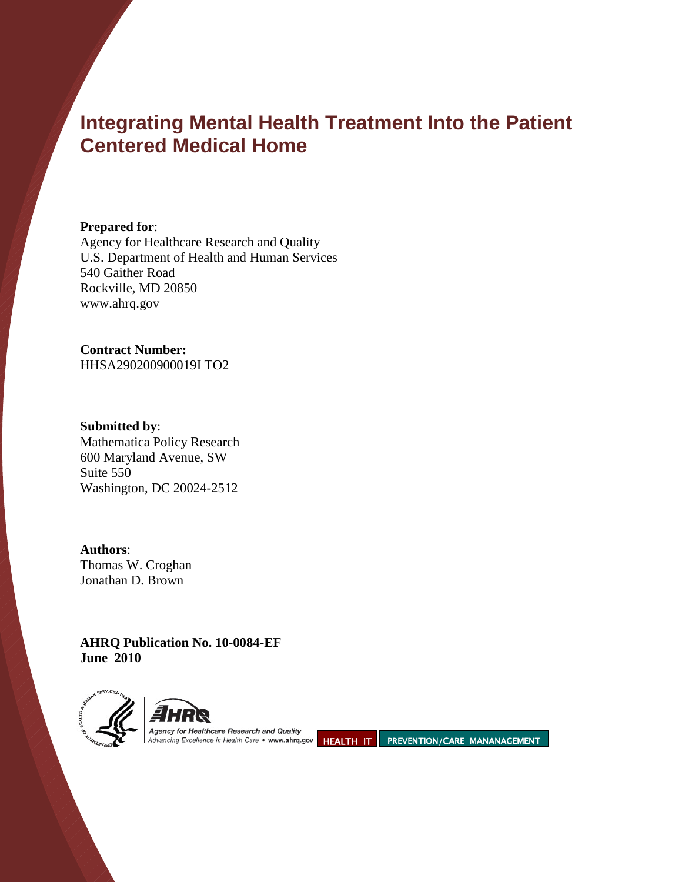# **Integrating Mental Health Treatment Into the Patient Centered Medical Home**

**Prepared for**:

Agency for Healthcare Research and Quality U.S. Department of Health and Human Services 540 Gaither Road Rockville, MD 20850 www.ahrq.gov

# **Contract Number:**

HHSA290200900019I TO2

**Submitted by**: Mathematica Policy Research 600 Maryland Avenue, SW Suite 550 Washington, DC 20024-2512

**Authors**: Thomas W. Croghan Jonathan D. Brown

**AHRQ Publication No. 10-0084-EF June 2010** 





Agency for Healthcare Research and Quality

Advancing Excellence in Health Care • www.ahrq.gov HEALTH IT PREVENTION/CARE MANANAGEMENT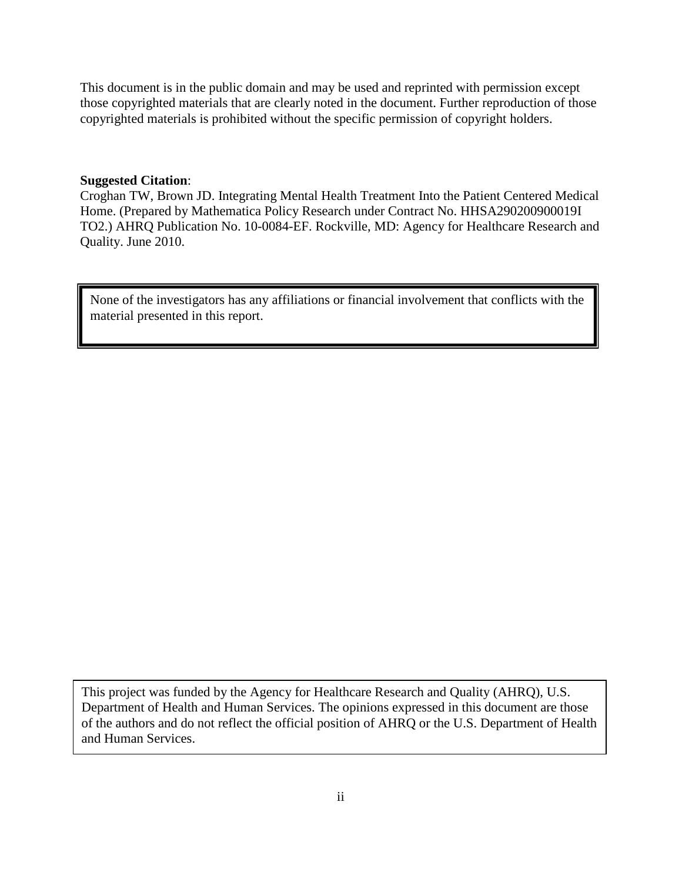This document is in the public domain and may be used and reprinted with permission except those copyrighted materials that are clearly noted in the document. Further reproduction of those copyrighted materials is prohibited without the specific permission of copyright holders.

#### **Suggested Citation**:

Croghan TW, Brown JD. Integrating Mental Health Treatment Into the Patient Centered Medical Home. (Prepared by Mathematica Policy Research under Contract No. HHSA290200900019I TO2.) AHRQ Publication No. 10-0084-EF. Rockville, MD: Agency for Healthcare Research and Quality. June 2010.

None of the investigators has any affiliations or financial involvement that conflicts with the material presented in this report.

This project was funded by the Agency for Healthcare Research and Quality (AHRQ), U.S. Department of Health and Human Services. The opinions expressed in this document are those of the authors and do not reflect the official position of AHRQ or the U.S. Department of Health and Human Services.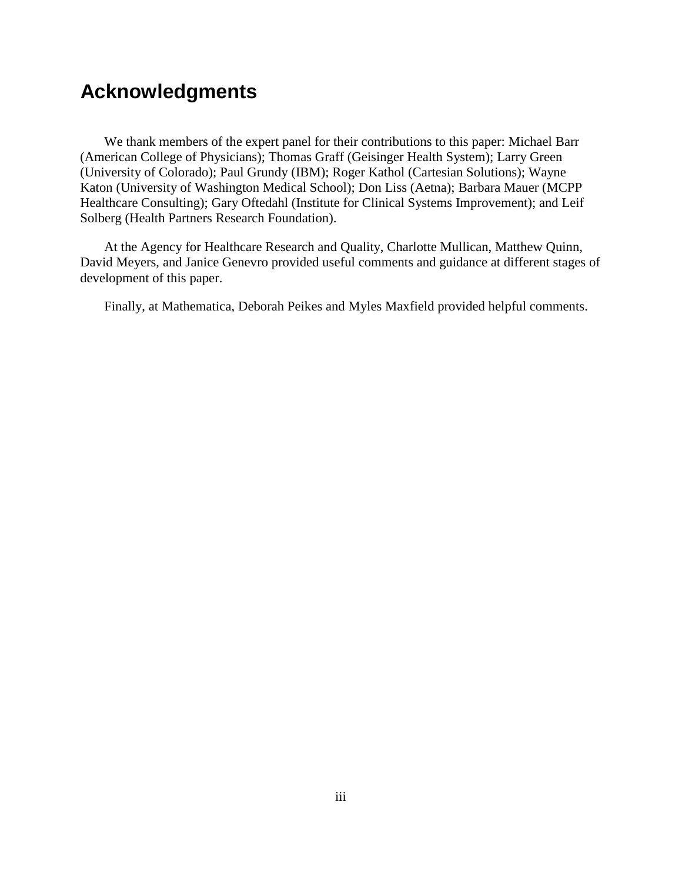# **Acknowledgments**

We thank members of the expert panel for their contributions to this paper: Michael Barr (American College of Physicians); Thomas Graff (Geisinger Health System); Larry Green (University of Colorado); Paul Grundy (IBM); Roger Kathol (Cartesian Solutions); Wayne Katon (University of Washington Medical School); Don Liss (Aetna); Barbara Mauer (MCPP Healthcare Consulting); Gary Oftedahl (Institute for Clinical Systems Improvement); and Leif Solberg (Health Partners Research Foundation).

At the Agency for Healthcare Research and Quality, Charlotte Mullican, Matthew Quinn, David Meyers, and Janice Genevro provided useful comments and guidance at different stages of development of this paper.

Finally, at Mathematica, Deborah Peikes and Myles Maxfield provided helpful comments.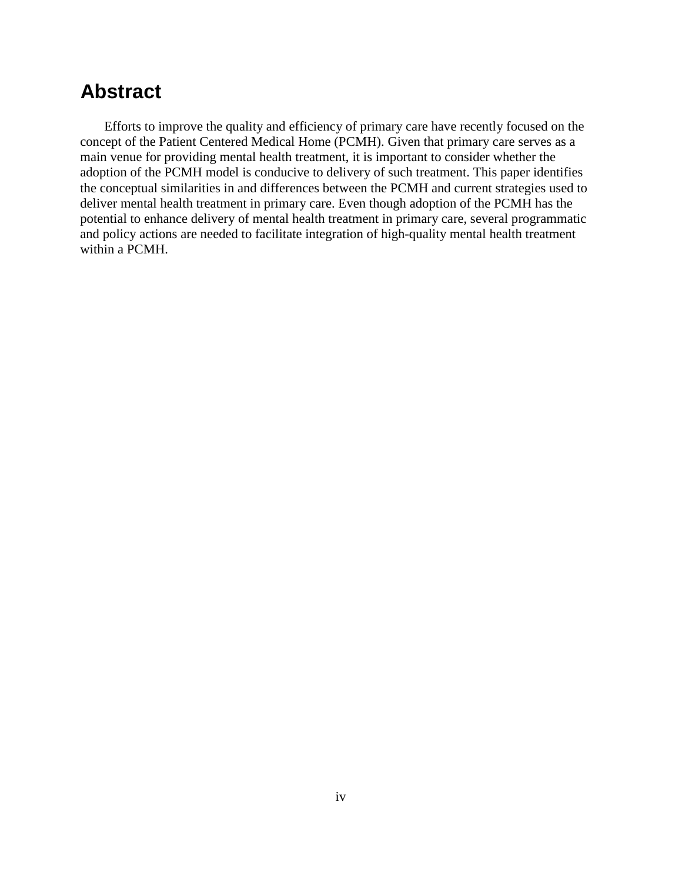# **Abstract**

Efforts to improve the quality and efficiency of primary care have recently focused on the concept of the Patient Centered Medical Home (PCMH). Given that primary care serves as a main venue for providing mental health treatment, it is important to consider whether the adoption of the PCMH model is conducive to delivery of such treatment. This paper identifies the conceptual similarities in and differences between the PCMH and current strategies used to deliver mental health treatment in primary care. Even though adoption of the PCMH has the potential to enhance delivery of mental health treatment in primary care, several programmatic and policy actions are needed to facilitate integration of high-quality mental health treatment within a PCMH.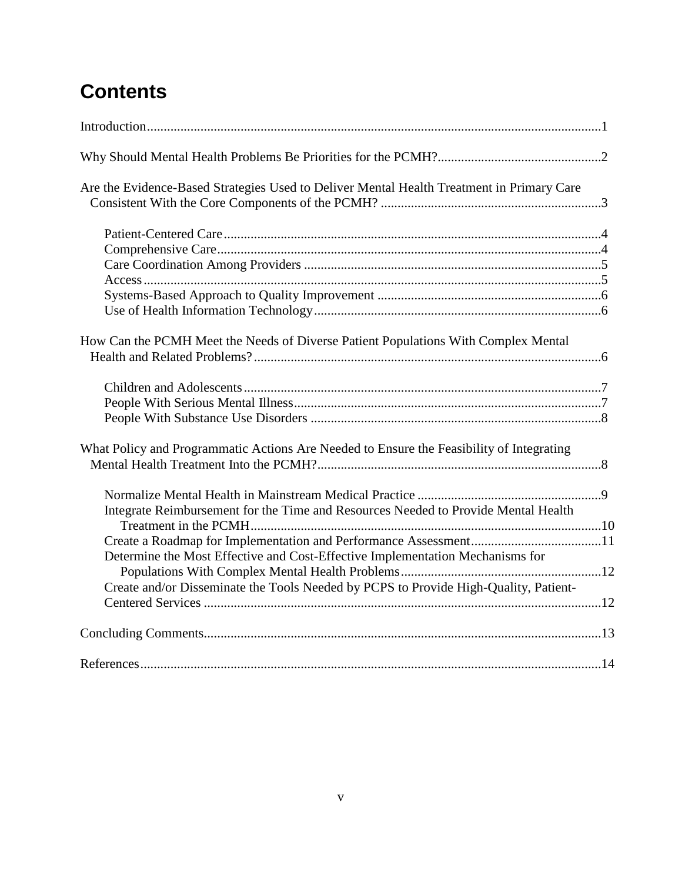# **Contents**

| Are the Evidence-Based Strategies Used to Deliver Mental Health Treatment in Primary Care |  |
|-------------------------------------------------------------------------------------------|--|
|                                                                                           |  |
|                                                                                           |  |
|                                                                                           |  |
|                                                                                           |  |
|                                                                                           |  |
|                                                                                           |  |
| How Can the PCMH Meet the Needs of Diverse Patient Populations With Complex Mental        |  |
|                                                                                           |  |
|                                                                                           |  |
|                                                                                           |  |
| What Policy and Programmatic Actions Are Needed to Ensure the Feasibility of Integrating  |  |
|                                                                                           |  |
| Integrate Reimbursement for the Time and Resources Needed to Provide Mental Health        |  |
|                                                                                           |  |
|                                                                                           |  |
| Determine the Most Effective and Cost-Effective Implementation Mechanisms for             |  |
|                                                                                           |  |
| Create and/or Disseminate the Tools Needed by PCPS to Provide High-Quality, Patient-      |  |
|                                                                                           |  |
|                                                                                           |  |
|                                                                                           |  |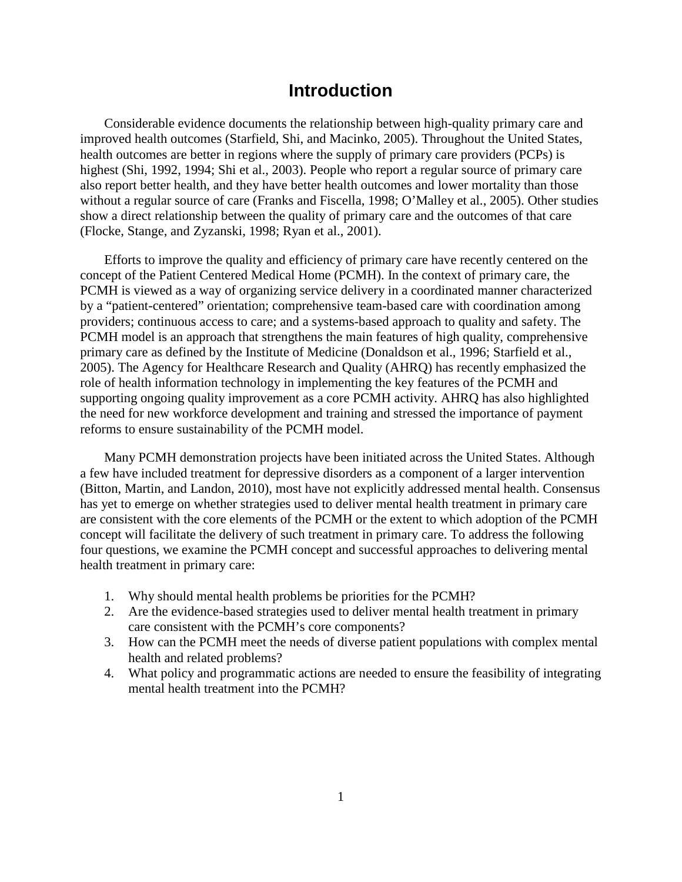## **Introduction**

Considerable evidence documents the relationship between high-quality primary care and improved health outcomes (Starfield, Shi, and Macinko, 2005). Throughout the United States, health outcomes are better in regions where the supply of primary care providers (PCPs) is highest (Shi, 1992, 1994; Shi et al., 2003). People who report a regular source of primary care also report better health, and they have better health outcomes and lower mortality than those without a regular source of care (Franks and Fiscella, 1998; O'Malley et al., 2005). Other studies show a direct relationship between the quality of primary care and the outcomes of that care (Flocke, Stange, and Zyzanski, 1998; Ryan et al., 2001).

Efforts to improve the quality and efficiency of primary care have recently centered on the concept of the Patient Centered Medical Home (PCMH). In the context of primary care, the PCMH is viewed as a way of organizing service delivery in a coordinated manner characterized by a "patient-centered" orientation; comprehensive team-based care with coordination among providers; continuous access to care; and a systems-based approach to quality and safety. The PCMH model is an approach that strengthens the main features of high quality, comprehensive primary care as defined by the Institute of Medicine (Donaldson et al., 1996; Starfield et al., 2005). The Agency for Healthcare Research and Quality (AHRQ) has recently emphasized the role of health information technology in implementing the key features of the PCMH and supporting ongoing quality improvement as a core PCMH activity. AHRQ has also highlighted the need for new workforce development and training and stressed the importance of payment reforms to ensure sustainability of the PCMH model.

Many PCMH demonstration projects have been initiated across the United States. Although a few have included treatment for depressive disorders as a component of a larger intervention (Bitton, Martin, and Landon, 2010), most have not explicitly addressed mental health. Consensus has yet to emerge on whether strategies used to deliver mental health treatment in primary care are consistent with the core elements of the PCMH or the extent to which adoption of the PCMH concept will facilitate the delivery of such treatment in primary care. To address the following four questions, we examine the PCMH concept and successful approaches to delivering mental health treatment in primary care:

- 1. Why should mental health problems be priorities for the PCMH?
- 2. Are the evidence-based strategies used to deliver mental health treatment in primary care consistent with the PCMH's core components?
- 3. How can the PCMH meet the needs of diverse patient populations with complex mental health and related problems?
- 4. What policy and programmatic actions are needed to ensure the feasibility of integrating mental health treatment into the PCMH?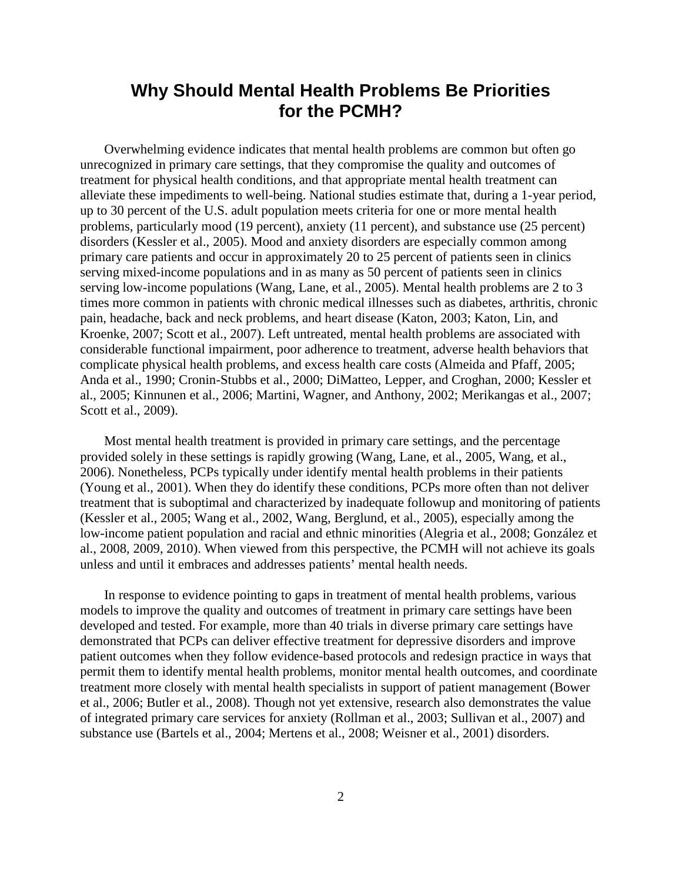## **Why Should Mental Health Problems Be Priorities for the PCMH?**

Overwhelming evidence indicates that mental health problems are common but often go unrecognized in primary care settings, that they compromise the quality and outcomes of treatment for physical health conditions, and that appropriate mental health treatment can alleviate these impediments to well-being. National studies estimate that, during a 1-year period, up to 30 percent of the U.S. adult population meets criteria for one or more mental health problems, particularly mood (19 percent), anxiety (11 percent), and substance use (25 percent) disorders (Kessler et al., 2005). Mood and anxiety disorders are especially common among primary care patients and occur in approximately 20 to 25 percent of patients seen in clinics serving mixed-income populations and in as many as 50 percent of patients seen in clinics serving low-income populations (Wang, Lane, et al., 2005). Mental health problems are 2 to 3 times more common in patients with chronic medical illnesses such as diabetes, arthritis, chronic pain, headache, back and neck problems, and heart disease (Katon, 2003; Katon, Lin, and Kroenke, 2007; Scott et al., 2007). Left untreated, mental health problems are associated with considerable functional impairment, poor adherence to treatment, adverse health behaviors that complicate physical health problems, and excess health care costs (Almeida and Pfaff, 2005; Anda et al., 1990; Cronin-Stubbs et al., 2000; DiMatteo, Lepper, and Croghan, 2000; Kessler et al., 2005; Kinnunen et al., 2006; Martini, Wagner, and Anthony, 2002; Merikangas et al., 2007; Scott et al., 2009).

Most mental health treatment is provided in primary care settings, and the percentage provided solely in these settings is rapidly growing (Wang, Lane, et al., 2005, Wang, et al., 2006). Nonetheless, PCPs typically under identify mental health problems in their patients (Young et al., 2001). When they do identify these conditions, PCPs more often than not deliver treatment that is suboptimal and characterized by inadequate followup and monitoring of patients (Kessler et al., 2005; Wang et al., 2002, Wang, Berglund, et al., 2005), especially among the low-income patient population and racial and ethnic minorities (Alegria et al., 2008; González et al., 2008, 2009, 2010). When viewed from this perspective, the PCMH will not achieve its goals unless and until it embraces and addresses patients' mental health needs.

 In response to evidence pointing to gaps in treatment of mental health problems, various models to improve the quality and outcomes of treatment in primary care settings have been developed and tested. For example, more than 40 trials in diverse primary care settings have demonstrated that PCPs can deliver effective treatment for depressive disorders and improve patient outcomes when they follow evidence-based protocols and redesign practice in ways that permit them to identify mental health problems, monitor mental health outcomes, and coordinate treatment more closely with mental health specialists in support of patient management (Bower et al., 2006; Butler et al., 2008). Though not yet extensive, research also demonstrates the value of integrated primary care services for anxiety (Rollman et al., 2003; Sullivan et al., 2007) and substance use (Bartels et al., 2004; Mertens et al., 2008; Weisner et al., 2001) disorders.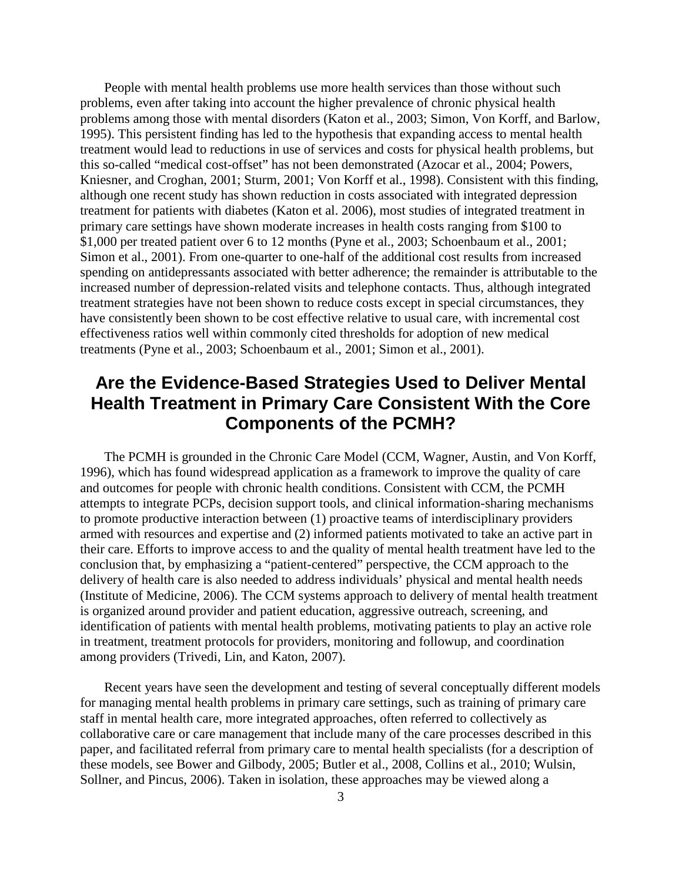People with mental health problems use more health services than those without such problems, even after taking into account the higher prevalence of chronic physical health problems among those with mental disorders (Katon et al., 2003; Simon, Von Korff, and Barlow, 1995). This persistent finding has led to the hypothesis that expanding access to mental health treatment would lead to reductions in use of services and costs for physical health problems, but this so-called "medical cost-offset" has not been demonstrated (Azocar et al., 2004; Powers, Kniesner, and Croghan, 2001; Sturm, 2001; Von Korff et al., 1998). Consistent with this finding, although one recent study has shown reduction in costs associated with integrated depression treatment for patients with diabetes (Katon et al. 2006), most studies of integrated treatment in primary care settings have shown moderate increases in health costs ranging from \$100 to \$1,000 per treated patient over 6 to 12 months (Pyne et al., 2003; Schoenbaum et al., 2001; Simon et al., 2001). From one-quarter to one-half of the additional cost results from increased spending on antidepressants associated with better adherence; the remainder is attributable to the increased number of depression-related visits and telephone contacts. Thus, although integrated treatment strategies have not been shown to reduce costs except in special circumstances, they have consistently been shown to be cost effective relative to usual care, with incremental cost effectiveness ratios well within commonly cited thresholds for adoption of new medical treatments (Pyne et al., 2003; Schoenbaum et al., 2001; Simon et al., 2001).

# **Are the Evidence-Based Strategies Used to Deliver Mental Health Treatment in Primary Care Consistent With the Core Components of the PCMH?**

 The PCMH is grounded in the Chronic Care Model (CCM, Wagner, Austin, and Von Korff, 1996), which has found widespread application as a framework to improve the quality of care and outcomes for people with chronic health conditions. Consistent with CCM, the PCMH attempts to integrate PCPs, decision support tools, and clinical information-sharing mechanisms to promote productive interaction between (1) proactive teams of interdisciplinary providers armed with resources and expertise and (2) informed patients motivated to take an active part in their care. Efforts to improve access to and the quality of mental health treatment have led to the conclusion that, by emphasizing a "patient-centered" perspective, the CCM approach to the delivery of health care is also needed to address individuals' physical and mental health needs (Institute of Medicine, 2006). The CCM systems approach to delivery of mental health treatment is organized around provider and patient education, aggressive outreach, screening, and identification of patients with mental health problems, motivating patients to play an active role in treatment, treatment protocols for providers, monitoring and followup, and coordination among providers (Trivedi, Lin, and Katon, 2007).

Recent years have seen the development and testing of several conceptually different models for managing mental health problems in primary care settings, such as training of primary care staff in mental health care, more integrated approaches, often referred to collectively as collaborative care or care management that include many of the care processes described in this paper, and facilitated referral from primary care to mental health specialists (for a description of these models, see Bower and Gilbody, 2005; Butler et al., 2008, Collins et al., 2010; Wulsin, Sollner, and Pincus, 2006). Taken in isolation, these approaches may be viewed along a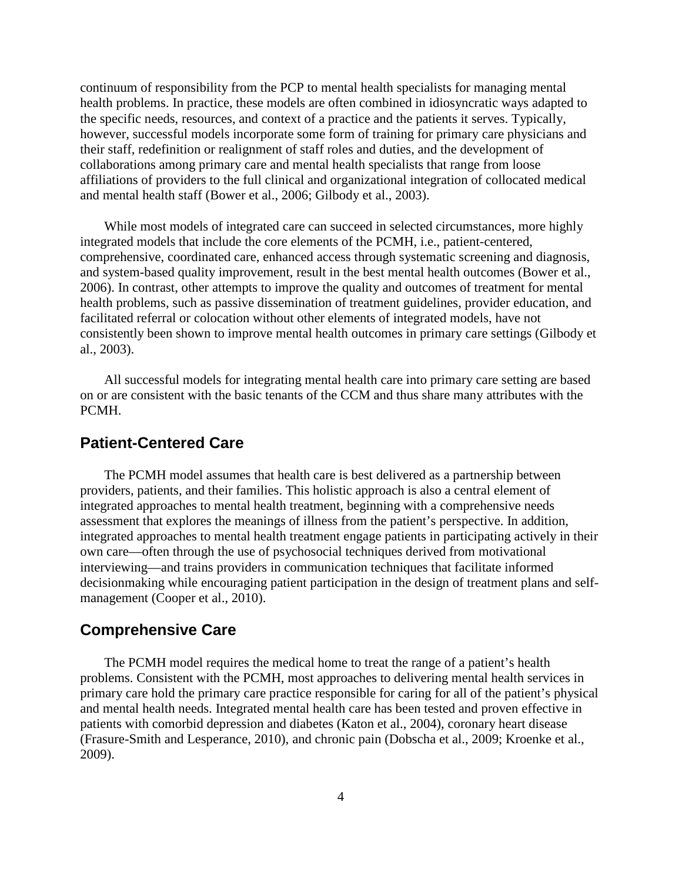continuum of responsibility from the PCP to mental health specialists for managing mental health problems. In practice, these models are often combined in idiosyncratic ways adapted to the specific needs, resources, and context of a practice and the patients it serves. Typically, however, successful models incorporate some form of training for primary care physicians and their staff, redefinition or realignment of staff roles and duties, and the development of collaborations among primary care and mental health specialists that range from loose affiliations of providers to the full clinical and organizational integration of collocated medical and mental health staff (Bower et al., 2006; Gilbody et al., 2003).

While most models of integrated care can succeed in selected circumstances, more highly integrated models that include the core elements of the PCMH, i.e., patient-centered, comprehensive, coordinated care, enhanced access through systematic screening and diagnosis, and system-based quality improvement, result in the best mental health outcomes (Bower et al., 2006). In contrast, other attempts to improve the quality and outcomes of treatment for mental health problems, such as passive dissemination of treatment guidelines, provider education, and facilitated referral or colocation without other elements of integrated models, have not consistently been shown to improve mental health outcomes in primary care settings (Gilbody et al., 2003).

All successful models for integrating mental health care into primary care setting are based on or are consistent with the basic tenants of the CCM and thus share many attributes with the PCMH.

#### **Patient-Centered Care**

The PCMH model assumes that health care is best delivered as a partnership between providers, patients, and their families. This holistic approach is also a central element of integrated approaches to mental health treatment, beginning with a comprehensive needs assessment that explores the meanings of illness from the patient's perspective. In addition, integrated approaches to mental health treatment engage patients in participating actively in their own care—often through the use of psychosocial techniques derived from motivational interviewing—and trains providers in communication techniques that facilitate informed decisionmaking while encouraging patient participation in the design of treatment plans and selfmanagement (Cooper et al., 2010).

#### **Comprehensive Care**

The PCMH model requires the medical home to treat the range of a patient's health problems. Consistent with the PCMH, most approaches to delivering mental health services in primary care hold the primary care practice responsible for caring for all of the patient's physical and mental health needs. Integrated mental health care has been tested and proven effective in patients with comorbid depression and diabetes (Katon et al., 2004), coronary heart disease (Frasure-Smith and Lesperance, 2010), and chronic pain (Dobscha et al., 2009; Kroenke et al., 2009).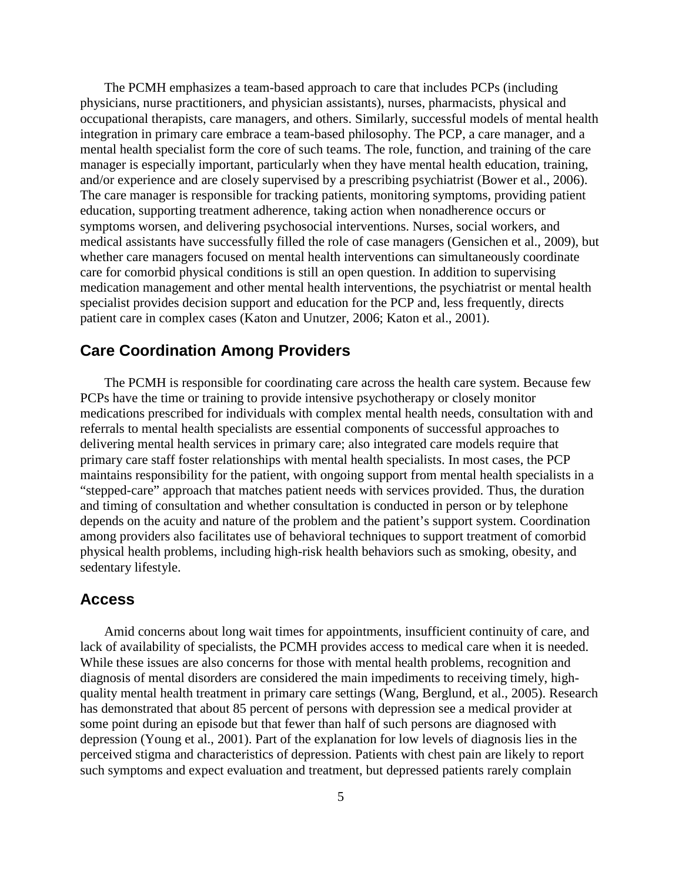The PCMH emphasizes a team-based approach to care that includes PCPs (including physicians, nurse practitioners, and physician assistants), nurses, pharmacists, physical and occupational therapists, care managers, and others. Similarly, successful models of mental health integration in primary care embrace a team-based philosophy. The PCP, a care manager, and a mental health specialist form the core of such teams. The role, function, and training of the care manager is especially important, particularly when they have mental health education, training, and/or experience and are closely supervised by a prescribing psychiatrist (Bower et al., 2006). The care manager is responsible for tracking patients, monitoring symptoms, providing patient education, supporting treatment adherence, taking action when nonadherence occurs or symptoms worsen, and delivering psychosocial interventions. Nurses, social workers, and medical assistants have successfully filled the role of case managers (Gensichen et al., 2009), but whether care managers focused on mental health interventions can simultaneously coordinate care for comorbid physical conditions is still an open question. In addition to supervising medication management and other mental health interventions, the psychiatrist or mental health specialist provides decision support and education for the PCP and, less frequently, directs patient care in complex cases (Katon and Unutzer, 2006; Katon et al., 2001).

## **Care Coordination Among Providers**

The PCMH is responsible for coordinating care across the health care system. Because few PCPs have the time or training to provide intensive psychotherapy or closely monitor medications prescribed for individuals with complex mental health needs, consultation with and referrals to mental health specialists are essential components of successful approaches to delivering mental health services in primary care; also integrated care models require that primary care staff foster relationships with mental health specialists. In most cases, the PCP maintains responsibility for the patient, with ongoing support from mental health specialists in a "stepped-care" approach that matches patient needs with services provided. Thus, the duration and timing of consultation and whether consultation is conducted in person or by telephone depends on the acuity and nature of the problem and the patient's support system. Coordination among providers also facilitates use of behavioral techniques to support treatment of comorbid physical health problems, including high-risk health behaviors such as smoking, obesity, and sedentary lifestyle.

#### **Access**

 Amid concerns about long wait times for appointments, insufficient continuity of care, and lack of availability of specialists, the PCMH provides access to medical care when it is needed. While these issues are also concerns for those with mental health problems, recognition and diagnosis of mental disorders are considered the main impediments to receiving timely, highquality mental health treatment in primary care settings (Wang, Berglund, et al., 2005). Research has demonstrated that about 85 percent of persons with depression see a medical provider at some point during an episode but that fewer than half of such persons are diagnosed with depression (Young et al., 2001). Part of the explanation for low levels of diagnosis lies in the perceived stigma and characteristics of depression. Patients with chest pain are likely to report such symptoms and expect evaluation and treatment, but depressed patients rarely complain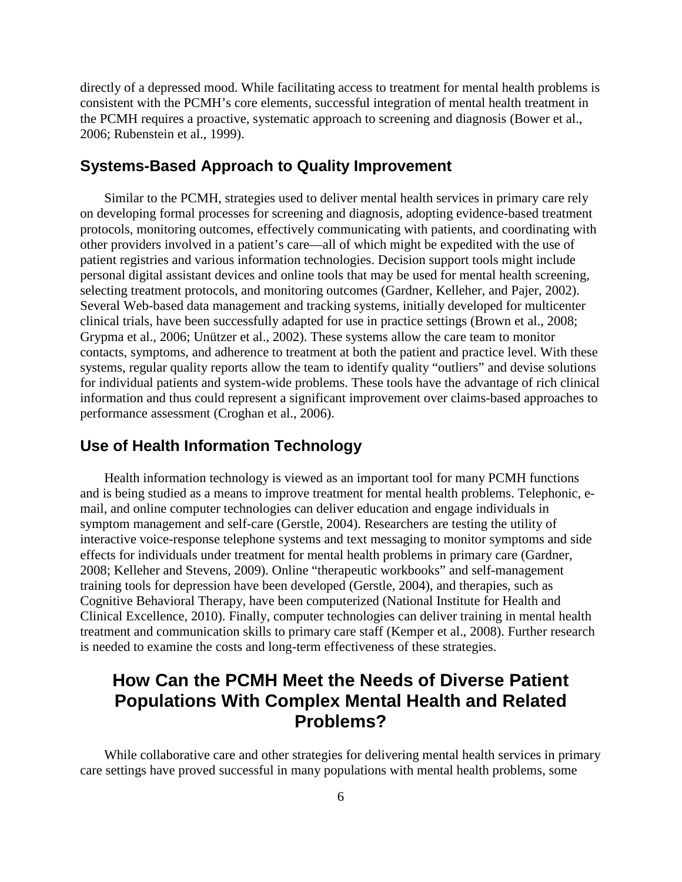directly of a depressed mood. While facilitating access to treatment for mental health problems is consistent with the PCMH's core elements, successful integration of mental health treatment in the PCMH requires a proactive, systematic approach to screening and diagnosis (Bower et al., 2006; Rubenstein et al., 1999).

#### **Systems-Based Approach to Quality Improvement**

Similar to the PCMH, strategies used to deliver mental health services in primary care rely on developing formal processes for screening and diagnosis, adopting evidence-based treatment protocols, monitoring outcomes, effectively communicating with patients, and coordinating with other providers involved in a patient's care—all of which might be expedited with the use of patient registries and various information technologies. Decision support tools might include personal digital assistant devices and online tools that may be used for mental health screening, selecting treatment protocols, and monitoring outcomes (Gardner, Kelleher, and Pajer, 2002). Several Web-based data management and tracking systems, initially developed for multicenter clinical trials, have been successfully adapted for use in practice settings (Brown et al., 2008; Grypma et al., 2006; Unützer et al., 2002). These systems allow the care team to monitor contacts, symptoms, and adherence to treatment at both the patient and practice level. With these systems, regular quality reports allow the team to identify quality "outliers" and devise solutions for individual patients and system-wide problems. These tools have the advantage of rich clinical information and thus could represent a significant improvement over claims-based approaches to performance assessment (Croghan et al., 2006).

## **Use of Health Information Technology**

 Health information technology is viewed as an important tool for many PCMH functions and is being studied as a means to improve treatment for mental health problems. Telephonic, email, and online computer technologies can deliver education and engage individuals in symptom management and self-care (Gerstle, 2004). Researchers are testing the utility of interactive voice-response telephone systems and text messaging to monitor symptoms and side effects for individuals under treatment for mental health problems in primary care (Gardner, 2008; Kelleher and Stevens, 2009). Online "therapeutic workbooks" and self-management training tools for depression have been developed (Gerstle, 2004), and therapies, such as Cognitive Behavioral Therapy, have been computerized (National Institute for Health and Clinical Excellence, 2010). Finally, computer technologies can deliver training in mental health treatment and communication skills to primary care staff (Kemper et al., 2008). Further research is needed to examine the costs and long-term effectiveness of these strategies.

## **How Can the PCMH Meet the Needs of Diverse Patient Populations With Complex Mental Health and Related Problems?**

While collaborative care and other strategies for delivering mental health services in primary care settings have proved successful in many populations with mental health problems, some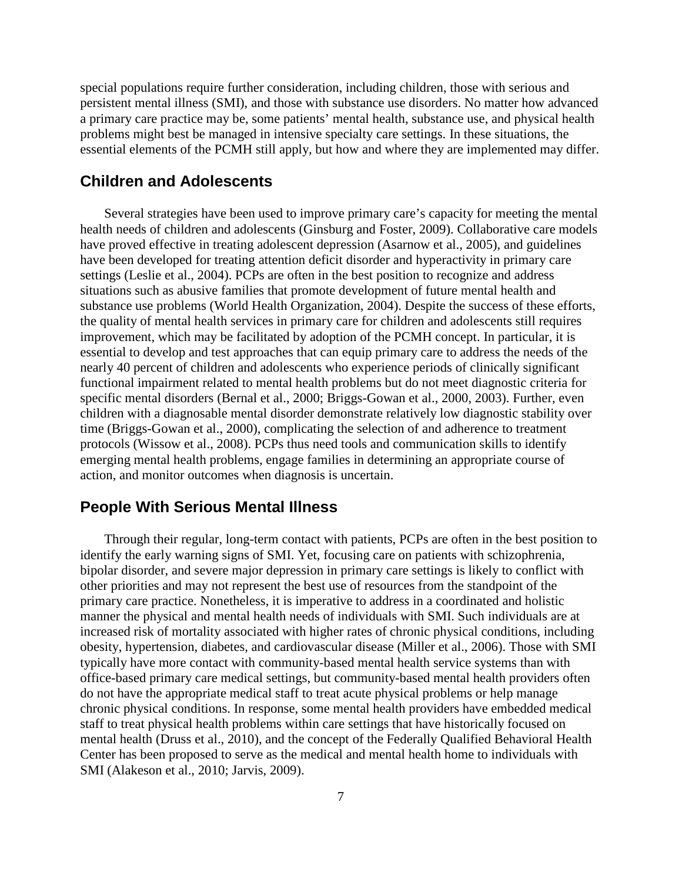special populations require further consideration, including children, those with serious and persistent mental illness (SMI), and those with substance use disorders. No matter how advanced a primary care practice may be, some patients' mental health, substance use, and physical health problems might best be managed in intensive specialty care settings. In these situations, the essential elements of the PCMH still apply, but how and where they are implemented may differ.

#### **Children and Adolescents**

Several strategies have been used to improve primary care's capacity for meeting the mental health needs of children and adolescents (Ginsburg and Foster, 2009). Collaborative care models have proved effective in treating adolescent depression (Asarnow et al., 2005), and guidelines have been developed for treating attention deficit disorder and hyperactivity in primary care settings (Leslie et al., 2004). PCPs are often in the best position to recognize and address situations such as abusive families that promote development of future mental health and substance use problems (World Health Organization, 2004). Despite the success of these efforts, the quality of mental health services in primary care for children and adolescents still requires improvement, which may be facilitated by adoption of the PCMH concept. In particular, it is essential to develop and test approaches that can equip primary care to address the needs of the nearly 40 percent of children and adolescents who experience periods of clinically significant functional impairment related to mental health problems but do not meet diagnostic criteria for specific mental disorders (Bernal et al., 2000; Briggs-Gowan et al., 2000, 2003). Further, even children with a diagnosable mental disorder demonstrate relatively low diagnostic stability over time (Briggs-Gowan et al., 2000), complicating the selection of and adherence to treatment protocols (Wissow et al., 2008). PCPs thus need tools and communication skills to identify emerging mental health problems, engage families in determining an appropriate course of action, and monitor outcomes when diagnosis is uncertain.

#### **People With Serious Mental Illness**

 Through their regular, long-term contact with patients, PCPs are often in the best position to identify the early warning signs of SMI. Yet, focusing care on patients with schizophrenia, bipolar disorder, and severe major depression in primary care settings is likely to conflict with other priorities and may not represent the best use of resources from the standpoint of the primary care practice. Nonetheless, it is imperative to address in a coordinated and holistic manner the physical and mental health needs of individuals with SMI. Such individuals are at increased risk of mortality associated with higher rates of chronic physical conditions, including obesity, hypertension, diabetes, and cardiovascular disease (Miller et al., 2006). Those with SMI typically have more contact with community-based mental health service systems than with office-based primary care medical settings, but community-based mental health providers often do not have the appropriate medical staff to treat acute physical problems or help manage chronic physical conditions. In response, some mental health providers have embedded medical staff to treat physical health problems within care settings that have historically focused on mental health (Druss et al., 2010), and the concept of the Federally Qualified Behavioral Health Center has been proposed to serve as the medical and mental health home to individuals with SMI (Alakeson et al., 2010; Jarvis, 2009).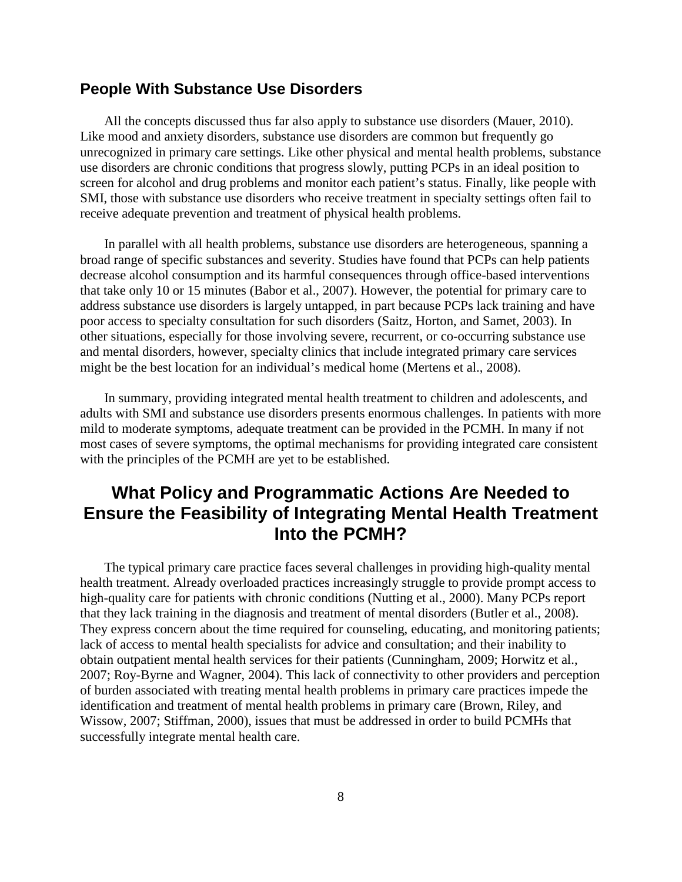#### **People With Substance Use Disorders**

 All the concepts discussed thus far also apply to substance use disorders (Mauer, 2010). Like mood and anxiety disorders, substance use disorders are common but frequently go unrecognized in primary care settings. Like other physical and mental health problems, substance use disorders are chronic conditions that progress slowly, putting PCPs in an ideal position to screen for alcohol and drug problems and monitor each patient's status. Finally, like people with SMI, those with substance use disorders who receive treatment in specialty settings often fail to receive adequate prevention and treatment of physical health problems.

 In parallel with all health problems, substance use disorders are heterogeneous, spanning a broad range of specific substances and severity. Studies have found that PCPs can help patients decrease alcohol consumption and its harmful consequences through office-based interventions that take only 10 or 15 minutes (Babor et al., 2007). However, the potential for primary care to address substance use disorders is largely untapped, in part because PCPs lack training and have poor access to specialty consultation for such disorders [\(Saitz, Horton, and Samet, 2003\).](http://www.ncbi.nlm.nih.gov/bookshelf/br.fcgi?book=hssamhsatip&part=A46504#A46667) In other situations, especially for those involving severe, recurrent, or co-occurring substance use and mental disorders, however, specialty clinics that include integrated primary care services might be the best location for an individual's medical home (Mertens et al., 2008).

 In summary, providing integrated mental health treatment to children and adolescents, and adults with SMI and substance use disorders presents enormous challenges. In patients with more mild to moderate symptoms, adequate treatment can be provided in the PCMH. In many if not most cases of severe symptoms, the optimal mechanisms for providing integrated care consistent with the principles of the PCMH are yet to be established.

# **What Policy and Programmatic Actions Are Needed to Ensure the Feasibility of Integrating Mental Health Treatment Into the PCMH?**

The typical primary care practice faces several challenges in providing high-quality mental health treatment. Already overloaded practices increasingly struggle to provide prompt access to high-quality care for patients with chronic conditions (Nutting et al., 2000). Many PCPs report that they lack training in the diagnosis and treatment of mental disorders (Butler et al., 2008). They express concern about the time required for counseling, educating, and monitoring patients; lack of access to mental health specialists for advice and consultation; and their inability to obtain outpatient mental health services for their patients (Cunningham, 2009; Horwitz et al., 2007; Roy-Byrne and Wagner, 2004). This lack of connectivity to other providers and perception of burden associated with treating mental health problems in primary care practices impede the identification and treatment of mental health problems in primary care (Brown, Riley, and Wissow, 2007; Stiffman, 2000), issues that must be addressed in order to build PCMHs that successfully integrate mental health care.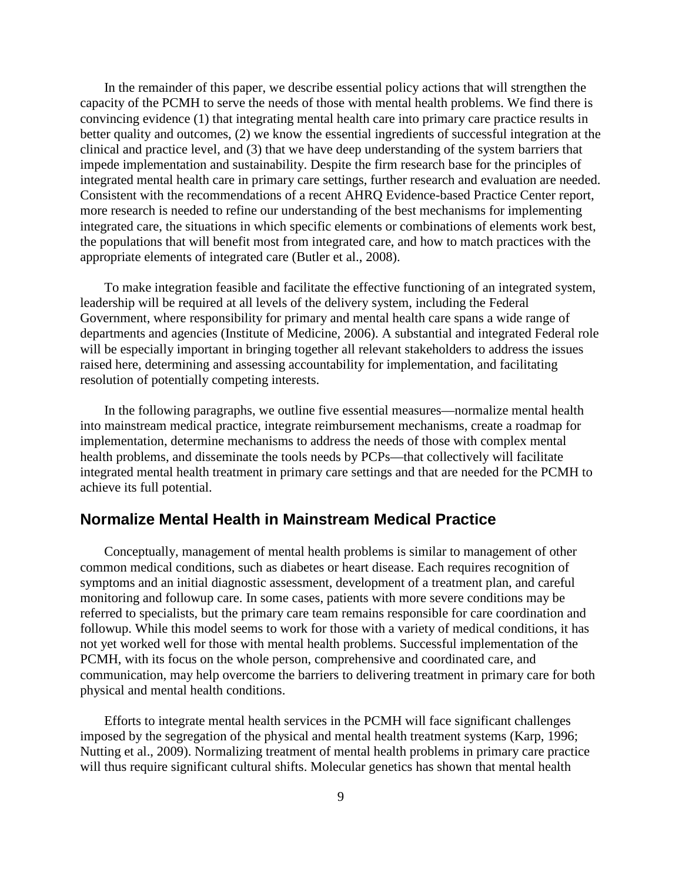In the remainder of this paper, we describe essential policy actions that will strengthen the capacity of the PCMH to serve the needs of those with mental health problems. We find there is convincing evidence (1) that integrating mental health care into primary care practice results in better quality and outcomes, (2) we know the essential ingredients of successful integration at the clinical and practice level, and (3) that we have deep understanding of the system barriers that impede implementation and sustainability. Despite the firm research base for the principles of integrated mental health care in primary care settings, further research and evaluation are needed. Consistent with the recommendations of a recent AHRQ Evidence-based Practice Center report, more research is needed to refine our understanding of the best mechanisms for implementing integrated care, the situations in which specific elements or combinations of elements work best, the populations that will benefit most from integrated care, and how to match practices with the appropriate elements of integrated care (Butler et al., 2008).

To make integration feasible and facilitate the effective functioning of an integrated system, leadership will be required at all levels of the delivery system, including the Federal Government, where responsibility for primary and mental health care spans a wide range of departments and agencies (Institute of Medicine, 2006). A substantial and integrated Federal role will be especially important in bringing together all relevant stakeholders to address the issues raised here, determining and assessing accountability for implementation, and facilitating resolution of potentially competing interests.

 In the following paragraphs, we outline five essential measures—normalize mental health into mainstream medical practice, integrate reimbursement mechanisms, create a roadmap for implementation, determine mechanisms to address the needs of those with complex mental health problems, and disseminate the tools needs by PCPs—that collectively will facilitate integrated mental health treatment in primary care settings and that are needed for the PCMH to achieve its full potential.

#### **Normalize Mental Health in Mainstream Medical Practice**

 Conceptually, management of mental health problems is similar to management of other common medical conditions, such as diabetes or heart disease. Each requires recognition of symptoms and an initial diagnostic assessment, development of a treatment plan, and careful monitoring and followup care. In some cases, patients with more severe conditions may be referred to specialists, but the primary care team remains responsible for care coordination and followup. While this model seems to work for those with a variety of medical conditions, it has not yet worked well for those with mental health problems. Successful implementation of the PCMH, with its focus on the whole person, comprehensive and coordinated care, and communication, may help overcome the barriers to delivering treatment in primary care for both physical and mental health conditions.

Efforts to integrate mental health services in the PCMH will face significant challenges imposed by the segregation of the physical and mental health treatment systems (Karp, 1996; Nutting et al., 2009). Normalizing treatment of mental health problems in primary care practice will thus require significant cultural shifts. Molecular genetics has shown that mental health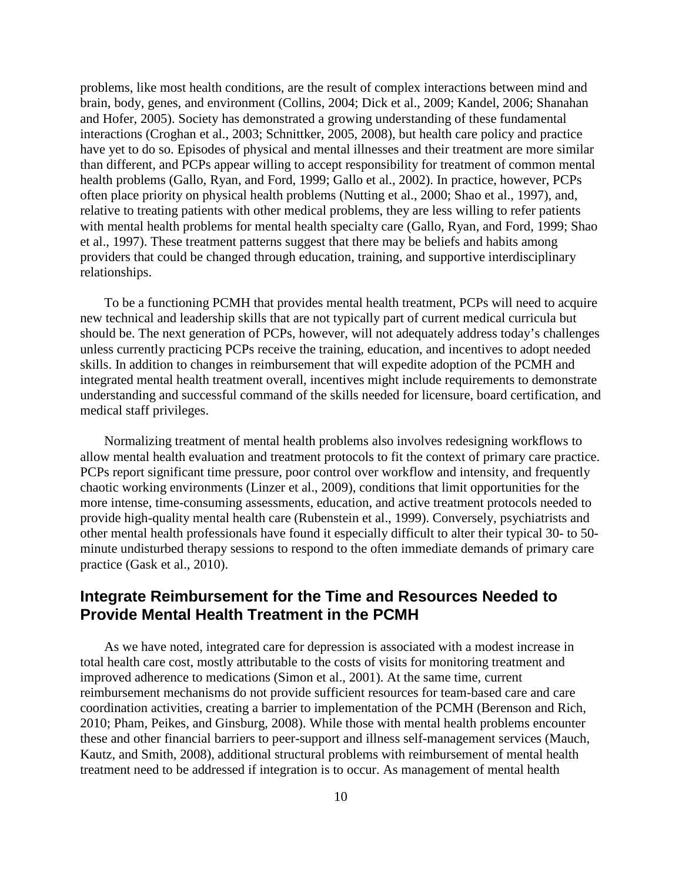problems, like most health conditions, are the result of complex interactions between mind and brain, body, genes, and environment (Collins, 2004; Dick et al., 2009; Kandel, 2006; Shanahan and Hofer, 2005). Society has demonstrated a growing understanding of these fundamental interactions (Croghan et al., 2003; Schnittker, 2005, 2008), but health care policy and practice have yet to do so. Episodes of physical and mental illnesses and their treatment are more similar than different, and PCPs appear willing to accept responsibility for treatment of common mental health problems (Gallo, Ryan, and Ford, 1999; Gallo et al., 2002). In practice, however, PCPs often place priority on physical health problems (Nutting et al., 2000; Shao et al., 1997), and, relative to treating patients with other medical problems, they are less willing to refer patients with mental health problems for mental health specialty care (Gallo, Ryan, and Ford, 1999; Shao et al., 1997). These treatment patterns suggest that there may be beliefs and habits among providers that could be changed through education, training, and supportive interdisciplinary relationships.

 To be a functioning PCMH that provides mental health treatment, PCPs will need to acquire new technical and leadership skills that are not typically part of current medical curricula but should be. The next generation of PCPs, however, will not adequately address today's challenges unless currently practicing PCPs receive the training, education, and incentives to adopt needed skills. In addition to changes in reimbursement that will expedite adoption of the PCMH and integrated mental health treatment overall, incentives might include requirements to demonstrate understanding and successful command of the skills needed for licensure, board certification, and medical staff privileges.

 Normalizing treatment of mental health problems also involves redesigning workflows to allow mental health evaluation and treatment protocols to fit the context of primary care practice. PCPs report significant time pressure, poor control over workflow and intensity, and frequently chaotic working environments (Linzer et al., 2009), conditions that limit opportunities for the more intense, time-consuming assessments, education, and active treatment protocols needed to provide high-quality mental health care (Rubenstein et al., 1999). Conversely, psychiatrists and other mental health professionals have found it especially difficult to alter their typical 30- to 50 minute undisturbed therapy sessions to respond to the often immediate demands of primary care practice (Gask et al., 2010).

### **Integrate Reimbursement for the Time and Resources Needed to Provide Mental Health Treatment in the PCMH**

As we have noted, integrated care for depression is associated with a modest increase in total health care cost, mostly attributable to the costs of visits for monitoring treatment and improved adherence to medications (Simon et al., 2001). At the same time, current reimbursement mechanisms do not provide sufficient resources for team-based care and care coordination activities, creating a barrier to implementation of the PCMH (Berenson and Rich, 2010; Pham, Peikes, and Ginsburg, 2008). While those with mental health problems encounter these and other financial barriers to peer-support and illness self-management services (Mauch, Kautz, and Smith, 2008), additional structural problems with reimbursement of mental health treatment need to be addressed if integration is to occur. As management of mental health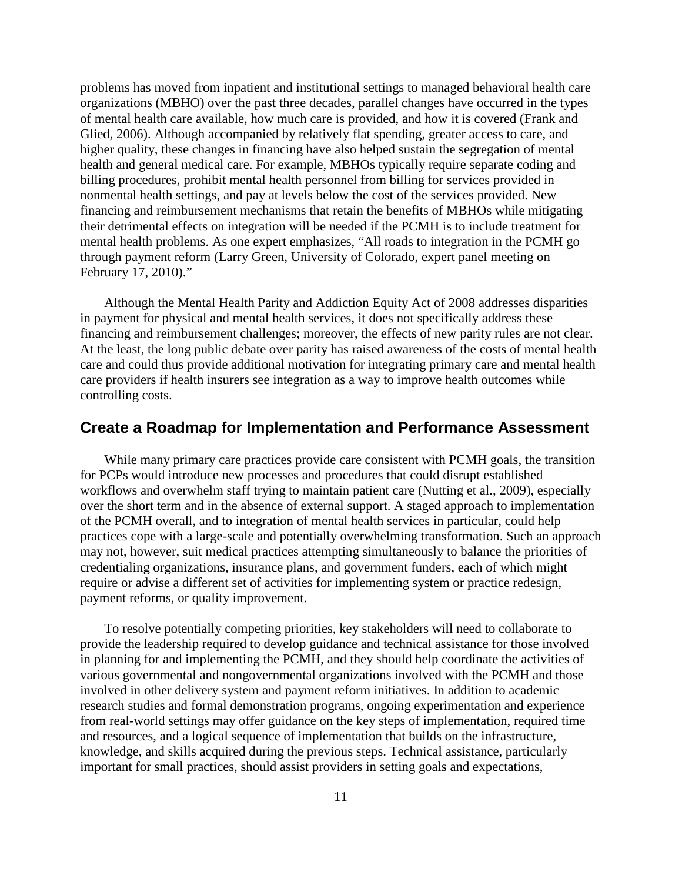problems has moved from inpatient and institutional settings to managed behavioral health care organizations (MBHO) over the past three decades, parallel changes have occurred in the types of mental health care available, how much care is provided, and how it is covered (Frank and Glied, 2006). Although accompanied by relatively flat spending, greater access to care, and higher quality, these changes in financing have also helped sustain the segregation of mental health and general medical care. For example, MBHOs typically require separate coding and billing procedures, prohibit mental health personnel from billing for services provided in nonmental health settings, and pay at levels below the cost of the services provided. New financing and reimbursement mechanisms that retain the benefits of MBHOs while mitigating their detrimental effects on integration will be needed if the PCMH is to include treatment for mental health problems. As one expert emphasizes, "All roads to integration in the PCMH go through payment reform (Larry Green, University of Colorado, expert panel meeting on February 17, 2010)."

 Although the Mental Health Parity and Addiction Equity Act of 2008 addresses disparities in payment for physical and mental health services, it does not specifically address these financing and reimbursement challenges; moreover, the effects of new parity rules are not clear. At the least, the long public debate over parity has raised awareness of the costs of mental health care and could thus provide additional motivation for integrating primary care and mental health care providers if health insurers see integration as a way to improve health outcomes while controlling costs.

#### **Create a Roadmap for Implementation and Performance Assessment**

While many primary care practices provide care consistent with PCMH goals, the transition for PCPs would introduce new processes and procedures that could disrupt established workflows and overwhelm staff trying to maintain patient care (Nutting et al., 2009), especially over the short term and in the absence of external support. A staged approach to implementation of the PCMH overall, and to integration of mental health services in particular, could help practices cope with a large-scale and potentially overwhelming transformation. Such an approach may not, however, suit medical practices attempting simultaneously to balance the priorities of credentialing organizations, insurance plans, and government funders, each of which might require or advise a different set of activities for implementing system or practice redesign, payment reforms, or quality improvement.

 To resolve potentially competing priorities, key stakeholders will need to collaborate to provide the leadership required to develop guidance and technical assistance for those involved in planning for and implementing the PCMH, and they should help coordinate the activities of various governmental and nongovernmental organizations involved with the PCMH and those involved in other delivery system and payment reform initiatives. In addition to academic research studies and formal demonstration programs, ongoing experimentation and experience from real-world settings may offer guidance on the key steps of implementation, required time and resources, and a logical sequence of implementation that builds on the infrastructure, knowledge, and skills acquired during the previous steps. Technical assistance, particularly important for small practices, should assist providers in setting goals and expectations,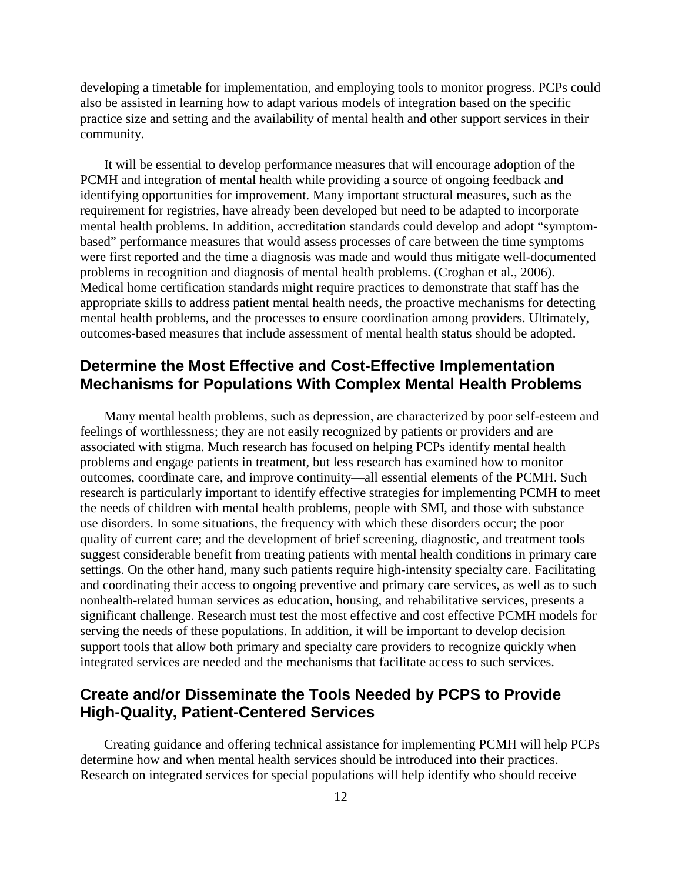developing a timetable for implementation, and employing tools to monitor progress. PCPs could also be assisted in learning how to adapt various models of integration based on the specific practice size and setting and the availability of mental health and other support services in their community.

 It will be essential to develop performance measures that will encourage adoption of the PCMH and integration of mental health while providing a source of ongoing feedback and identifying opportunities for improvement. Many important structural measures, such as the requirement for registries, have already been developed but need to be adapted to incorporate mental health problems. In addition, accreditation standards could develop and adopt "symptombased" performance measures that would assess processes of care between the time symptoms were first reported and the time a diagnosis was made and would thus mitigate well-documented problems in recognition and diagnosis of mental health problems. (Croghan et al., 2006). Medical home certification standards might require practices to demonstrate that staff has the appropriate skills to address patient mental health needs, the proactive mechanisms for detecting mental health problems, and the processes to ensure coordination among providers. Ultimately, outcomes-based measures that include assessment of mental health status should be adopted.

## **Determine the Most Effective and Cost-Effective Implementation Mechanisms for Populations With Complex Mental Health Problems**

 Many mental health problems, such as depression, are characterized by poor self-esteem and feelings of worthlessness; they are not easily recognized by patients or providers and are associated with stigma. Much research has focused on helping PCPs identify mental health problems and engage patients in treatment, but less research has examined how to monitor outcomes, coordinate care, and improve continuity—all essential elements of the PCMH. Such research is particularly important to identify effective strategies for implementing PCMH to meet the needs of children with mental health problems, people with SMI, and those with substance use disorders. In some situations, the frequency with which these disorders occur; the poor quality of current care; and the development of brief screening, diagnostic, and treatment tools suggest considerable benefit from treating patients with mental health conditions in primary care settings. On the other hand, many such patients require high-intensity specialty care. Facilitating and coordinating their access to ongoing preventive and primary care services, as well as to such nonhealth-related human services as education, housing, and rehabilitative services, presents a significant challenge. Research must test the most effective and cost effective PCMH models for serving the needs of these populations. In addition, it will be important to develop decision support tools that allow both primary and specialty care providers to recognize quickly when integrated services are needed and the mechanisms that facilitate access to such services.

## **Create and/or Disseminate the Tools Needed by PCPS to Provide High-Quality, Patient-Centered Services**

Creating guidance and offering technical assistance for implementing PCMH will help PCPs determine how and when mental health services should be introduced into their practices. Research on integrated services for special populations will help identify who should receive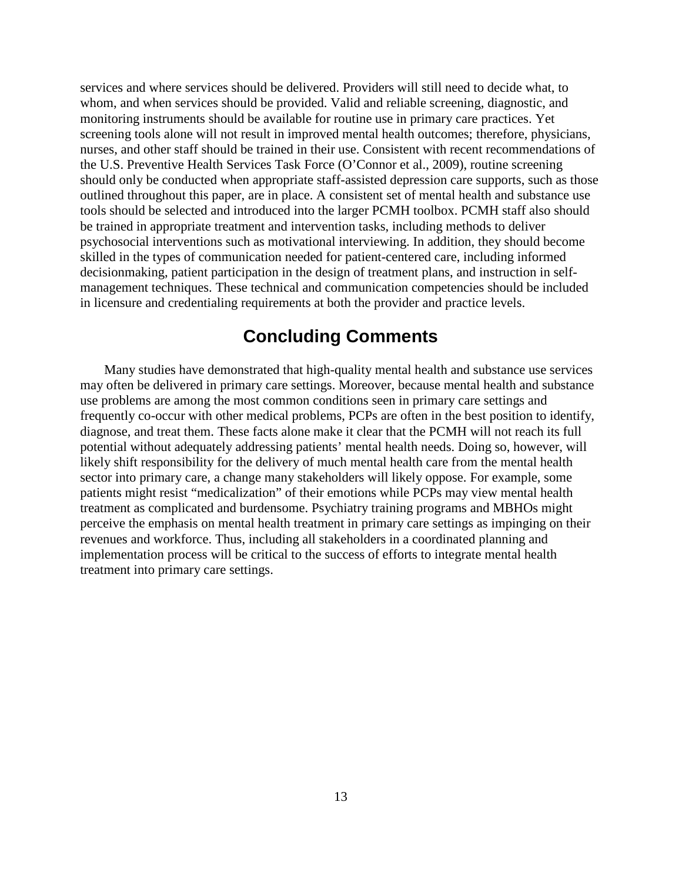services and where services should be delivered. Providers will still need to decide what, to whom, and when services should be provided. Valid and reliable screening, diagnostic, and monitoring instruments should be available for routine use in primary care practices. Yet screening tools alone will not result in improved mental health outcomes; therefore, physicians, nurses, and other staff should be trained in their use. Consistent with recent recommendations of the U.S. Preventive Health Services Task Force (O'Connor et al., 2009), routine screening should only be conducted when appropriate staff-assisted depression care supports, such as those outlined throughout this paper, are in place. A consistent set of mental health and substance use tools should be selected and introduced into the larger PCMH toolbox. PCMH staff also should be trained in appropriate treatment and intervention tasks, including methods to deliver psychosocial interventions such as motivational interviewing. In addition, they should become skilled in the types of communication needed for patient-centered care, including informed decisionmaking, patient participation in the design of treatment plans, and instruction in selfmanagement techniques. These technical and communication competencies should be included in licensure and credentialing requirements at both the provider and practice levels.

## **Concluding Comments**

Many studies have demonstrated that high-quality mental health and substance use services may often be delivered in primary care settings. Moreover, because mental health and substance use problems are among the most common conditions seen in primary care settings and frequently co-occur with other medical problems, PCPs are often in the best position to identify, diagnose, and treat them. These facts alone make it clear that the PCMH will not reach its full potential without adequately addressing patients' mental health needs. Doing so, however, will likely shift responsibility for the delivery of much mental health care from the mental health sector into primary care, a change many stakeholders will likely oppose. For example, some patients might resist "medicalization" of their emotions while PCPs may view mental health treatment as complicated and burdensome. Psychiatry training programs and MBHOs might perceive the emphasis on mental health treatment in primary care settings as impinging on their revenues and workforce. Thus, including all stakeholders in a coordinated planning and implementation process will be critical to the success of efforts to integrate mental health treatment into primary care settings.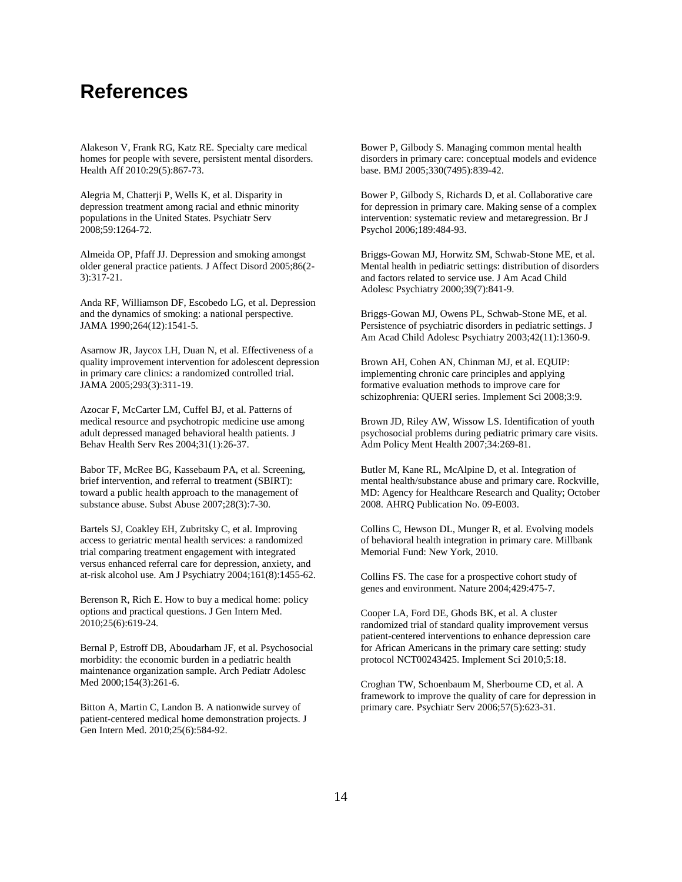# **References**

Alakeson V, Frank RG, Katz RE. Specialty care medical homes for people with severe, persistent mental disorders. Health Aff 2010:29(5):867-73.

Alegria M, Chatterji P, Wells K, et al. Disparity in depression treatment among racial and ethnic minority populations in the United States. Psychiatr Serv 2008;59:1264-72.

Almeida OP, Pfaff JJ. Depression and smoking amongst older general practice patients. J Affect Disord 2005;86(2- 3):317-21.

Anda RF, Williamson DF, Escobedo LG, et al. Depression and the dynamics of smoking: a national perspective. JAMA 1990;264(12):1541-5.

Asarnow JR, Jaycox LH, Duan N, et al. Effectiveness of a quality improvement intervention for adolescent depression in primary care clinics: a randomized controlled trial. JAMA 2005;293(3):311-19.

Azocar F, McCarter LM, Cuffel BJ, et al. Patterns of medical resource and psychotropic medicine use among adult depressed managed behavioral health patients. J Behav Health Serv Res 2004;31(1):26-37.

Babor TF, McRee BG, Kassebaum PA, et al. Screening, brief intervention, and referral to treatment (SBIRT): toward a public health approach to the management of substance abuse. Subst Abuse 2007;28(3):7-30.

Bartels SJ, Coakley EH, Zubritsky C, et al. Improving access to geriatric mental health services: a randomized trial comparing treatment engagement with integrated versus enhanced referral care for depression, anxiety, and at-risk alcohol use. Am J Psychiatry 2004;161(8):1455-62.

Berenson R, Rich E. How to buy a medical home: policy options and practical questions. J Gen Intern Med. 2010;25(6):619-24.

Bernal P, Estroff DB, Aboudarham JF, et al. Psychosocial morbidity: the economic burden in a pediatric health maintenance organization sample. Arch Pediatr Adolesc Med 2000;154(3):261-6.

Bitton A, Martin C, Landon B. A nationwide survey of patient-centered medical home demonstration projects. J Gen Intern Med. 2010;25(6):584-92.

Bower P, Gilbody S. Managing common mental health disorders in primary care: conceptual models and evidence base. BMJ 2005;330(7495):839-42.

Bower P, Gilbody S, Richards D, et al. Collaborative care for depression in primary care. Making sense of a complex intervention: systematic review and metaregression. Br J Psychol 2006;189:484-93.

Briggs-Gowan MJ, Horwitz SM, Schwab-Stone ME, et al. Mental health in pediatric settings: distribution of disorders and factors related to service use. J Am Acad Child Adolesc Psychiatry 2000;39(7):841-9.

Briggs-Gowan MJ, Owens PL, Schwab-Stone ME, et al. Persistence of psychiatric disorders in pediatric settings. J Am Acad Child Adolesc Psychiatry 2003;42(11):1360-9.

Brown AH, Cohen AN, Chinman MJ, et al. EQUIP: implementing chronic care principles and applying formative evaluation methods to improve care for schizophrenia: QUERI series. Implement Sci 2008;3:9.

Brown JD, Riley AW, Wissow LS. Identification of youth psychosocial problems during pediatric primary care visits. Adm Policy Ment Health 2007;34:269-81.

Butler M, Kane RL, McAlpine D, et al. Integration of mental health/substance abuse and primary care. Rockville, MD: Agency for Healthcare Research and Quality; October 2008. AHRQ Publication No. 09-E003.

Collins C, Hewson DL, Munger R, et al. Evolving models of behavioral health integration in primary care. Millbank Memorial Fund: New York, 2010.

Collins FS. The case for a prospective cohort study of genes and environment. Nature 2004;429:475-7.

Cooper LA, Ford DE, Ghods BK, et al. A cluster randomized trial of standard quality improvement versus patient-centered interventions to enhance depression care for African Americans in the primary care setting: study protocol NCT00243425. Implement Sci 2010;5:18.

Croghan TW, Schoenbaum M, Sherbourne CD, et al. A framework to improve the quality of care for depression in primary care. Psychiatr Serv 2006;57(5):623-31.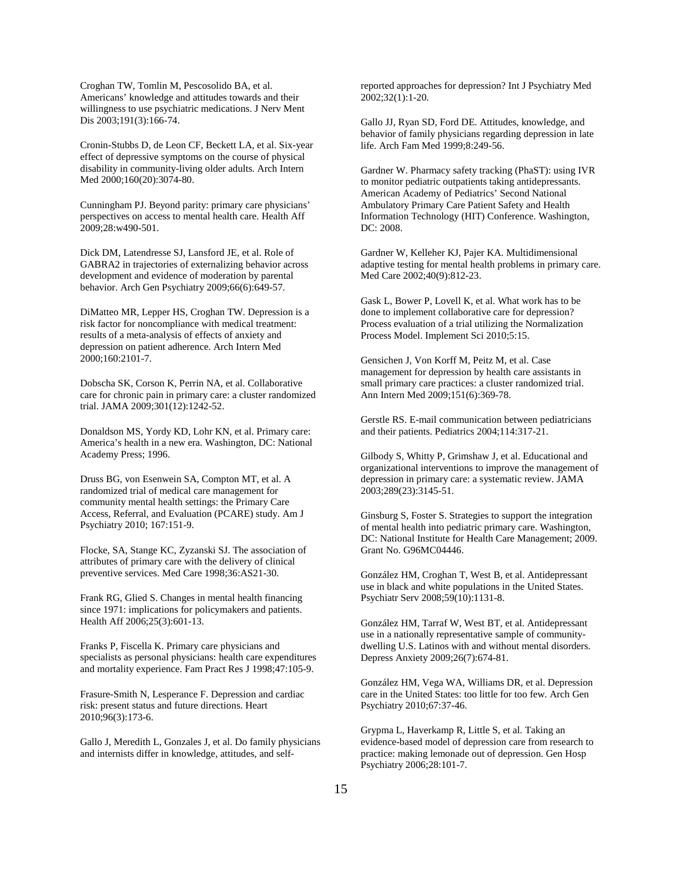Croghan TW, Tomlin M, Pescosolido BA, et al. Americans' knowledge and attitudes towards and their willingness to use psychiatric medications. J Nerv Ment Dis 2003;191(3):166-74.

Cronin-Stubbs D, de Leon CF, Beckett LA, et al. Six-year effect of depressive symptoms on the course of physical disability in community-living older adults. Arch Intern Med 2000;160(20):3074-80.

Cunningham PJ. Beyond parity: primary care physicians' perspectives on access to mental health care. Health Aff 2009;28:w490-501.

Dick DM, Latendresse SJ, Lansford JE, et al. Role of GABRA2 in trajectories of externalizing behavior across development and evidence of moderation by parental behavior. Arch Gen Psychiatry 2009;66(6):649-57.

DiMatteo MR, Lepper HS, Croghan TW. Depression is a risk factor for noncompliance with medical treatment: results of a meta-analysis of effects of anxiety and depression on patient adherence. Arch Intern Med 2000;160:2101-7.

Dobscha SK, Corson K, Perrin NA, et al. Collaborative care for chronic pain in primary care: a cluster randomized trial. JAMA 2009;301(12):1242-52.

Donaldson MS, Yordy KD, Lohr KN, et al. Primary care: America's health in a new era. Washington, DC: National Academy Press; 1996.

Druss BG, von Esenwein SA, Compton MT, et al. A randomized trial of medical care management for community mental health settings: the Primary Care Access, Referral, and Evaluation (PCARE) study. Am J Psychiatry 2010; 167:151-9.

Flocke, SA, Stange KC, Zyzanski SJ. The association of attributes of primary care with the delivery of clinical preventive services. Med Care 1998;36:AS21-30.

Frank RG, Glied S. Changes in mental health financing since 1971: implications for policymakers and patients. Health Aff 2006;25(3):601-13.

Franks P, Fiscella K. Primary care physicians and specialists as personal physicians: health care expenditures and mortality experience. Fam Pract Res J 1998;47:105-9.

Frasure-Smith N, Lesperance F. Depression and cardiac risk: present status and future directions. Heart 2010;96(3):173-6.

Gallo J, Meredith L, Gonzales J, et al. Do family physicians and internists differ in knowledge, attitudes, and self-

reported approaches for depression? Int J Psychiatry Med 2002;32(1):1-20.

Gallo JJ, Ryan SD, Ford DE. Attitudes, knowledge, and behavior of family physicians regarding depression in late life. Arch Fam Med 1999;8:249-56.

Gardner W. Pharmacy safety tracking (PhaST): using IVR to monitor pediatric outpatients taking antidepressants. American Academy of Pediatrics' Second National Ambulatory Primary Care Patient Safety and Health Information Technology (HIT) Conference. Washington, DC: 2008.

Gardner W, Kelleher KJ, Pajer KA. Multidimensional adaptive testing for mental health problems in primary care. Med Care 2002;40(9):812-23.

Gask L, Bower P, Lovell K, et al. What work has to be done to implement collaborative care for depression? Process evaluation of a trial utilizing the Normalization Process Model. Implement Sci 2010;5:15.

Gensichen J, Von Korff M, Peitz M, et al. Case management for depression by health care assistants in small primary care practices: a cluster randomized trial. Ann Intern Med 2009;151(6):369-78.

Gerstle RS. E-mail communication between pediatricians and their patients. Pediatrics 2004;114:317-21.

Gilbody S, Whitty P, Grimshaw J, et al. Educational and organizational interventions to improve the management of depression in primary care: a systematic review. JAMA 2003;289(23):3145-51.

Ginsburg S, Foster S. Strategies to support the integration of mental health into pediatric primary care. Washington, DC: National Institute for Health Care Management; 2009. Grant No. G96MC04446.

González HM, Croghan T, West B, et al. Antidepressant use in black and white populations in the United States. Psychiatr Serv 2008;59(10):1131-8.

González HM, Tarraf W, West BT, et al. Antidepressant use in a nationally representative sample of communitydwelling U.S. Latinos with and without mental disorders. Depress Anxiety 2009;26(7):674-81.

González HM, Vega WA, Williams DR, et al. Depression care in the United States: too little for too few. Arch Gen Psychiatry 2010;67:37-46.

Grypma L, Haverkamp R, Little S, et al. Taking an evidence-based model of depression care from research to practice: making lemonade out of depression. Gen Hosp Psychiatry 2006;28:101-7.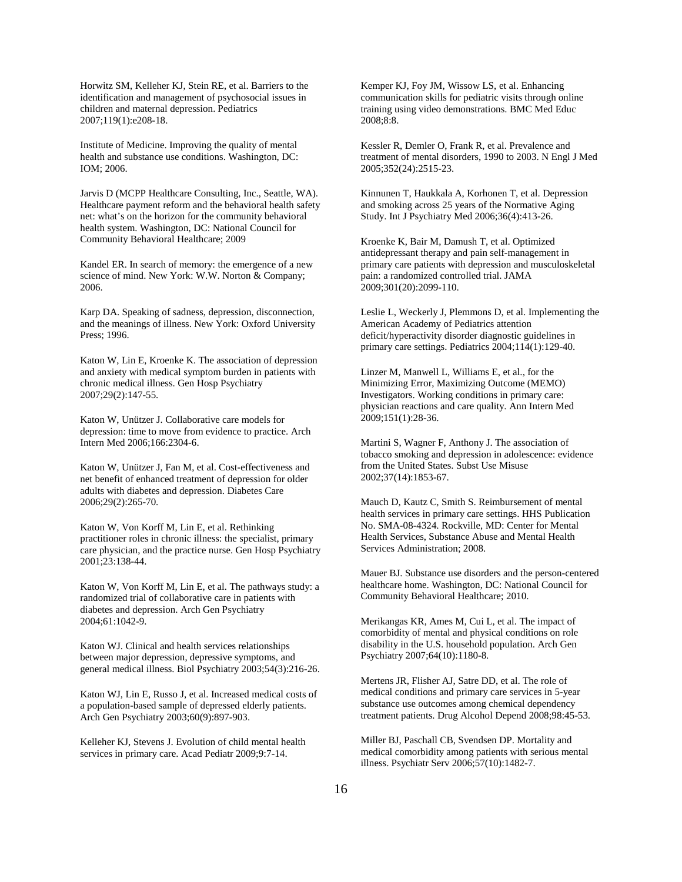Horwitz SM, Kelleher KJ, Stein RE, et al. Barriers to the identification and management of psychosocial issues in children and maternal depression. Pediatrics 2007;119(1):e208-18.

Institute of Medicine. Improving the quality of mental health and substance use conditions. Washington, DC: IOM; 2006.

Jarvis D (MCPP Healthcare Consulting, Inc., Seattle, WA). Healthcare payment reform and the behavioral health safety net: what's on the horizon for the community behavioral health system. Washington, DC: National Council for Community Behavioral Healthcare; 2009

Kandel ER. In search of memory: the emergence of a new science of mind. New York: W.W. Norton & Company; 2006.

Karp DA. Speaking of sadness, depression, disconnection, and the meanings of illness. New York: Oxford University Press; 1996.

Katon W, Lin E, Kroenke K. The association of depression and anxiety with medical symptom burden in patients with chronic medical illness. Gen Hosp Psychiatry 2007;29(2):147-55.

Katon W, Unützer J. Collaborative care models for depression: time to move from evidence to practice. Arch Intern Med 2006;166:2304-6.

Katon W, Unützer J, Fan M, et al. Cost-effectiveness and net benefit of enhanced treatment of depression for older adults with diabetes and depression. Diabetes Care 2006;29(2):265-70.

Katon W, Von Korff M, Lin E, et al. Rethinking practitioner roles in chronic illness: the specialist, primary care physician, and the practice nurse. Gen Hosp Psychiatry 2001;23:138-44.

Katon W, Von Korff M, Lin E, et al. The pathways study: a randomized trial of collaborative care in patients with diabetes and depression. Arch Gen Psychiatry 2004;61:1042-9.

Katon WJ. Clinical and health services relationships between major depression, depressive symptoms, and general medical illness. Biol Psychiatry 2003;54(3):216-26.

Katon WJ, Lin E, Russo J, et al. Increased medical costs of a population-based sample of depressed elderly patients. Arch Gen Psychiatry 2003;60(9):897-903.

Kelleher KJ, Stevens J. Evolution of child mental health services in primary care. Acad Pediatr 2009;9:7-14.

Kemper KJ, Foy JM, Wissow LS, et al. Enhancing communication skills for pediatric visits through online training using video demonstrations. BMC Med Educ 2008;8:8.

Kessler R, Demler O, Frank R, et al. Prevalence and treatment of mental disorders, 1990 to 2003. N Engl J Med 2005;352(24):2515-23.

Kinnunen T, Haukkala A, Korhonen T, et al. Depression and smoking across 25 years of the Normative Aging Study. Int J Psychiatry Med 2006;36(4):413-26.

Kroenke K, Bair M, Damush T, et al. Optimized antidepressant therapy and pain self-management in primary care patients with depression and musculoskeletal pain: a randomized controlled trial. JAMA 2009;301(20):2099-110.

Leslie L, Weckerly J, Plemmons D, et al. Implementing the American Academy of Pediatrics attention deficit/hyperactivity disorder diagnostic guidelines in primary care settings. Pediatrics 2004;114(1):129-40.

Linzer M, Manwell L, Williams E, et al., for the Minimizing Error, Maximizing Outcome (MEMO) Investigators. Working conditions in primary care: physician reactions and care quality. Ann Intern Med 2009;151(1):28-36.

Martini S, Wagner F, Anthony J. The association of tobacco smoking and depression in adolescence: evidence from the United States. Subst Use Misuse 2002;37(14):1853-67.

Mauch D, Kautz C, Smith S. Reimbursement of mental health services in primary care settings. HHS Publication No. SMA-08-4324. Rockville, MD: Center for Mental Health Services, Substance Abuse and Mental Health Services Administration; 2008.

Mauer BJ. Substance use disorders and the person-centered healthcare home. Washington, DC: National Council for Community Behavioral Healthcare; 2010.

Merikangas KR, Ames M, Cui L, et al. The impact of comorbidity of mental and physical conditions on role disability in the U.S. household population. Arch Gen Psychiatry 2007;64(10):1180-8.

Mertens JR, Flisher AJ, Satre DD, et al. The role of medical conditions and primary care services in 5-year substance use outcomes among chemical dependency treatment patients. Drug Alcohol Depend 2008;98:45-53.

Miller BJ, Paschall CB, Svendsen DP. Mortality and medical comorbidity among patients with serious mental illness. Psychiatr Serv 2006;57(10):1482-7.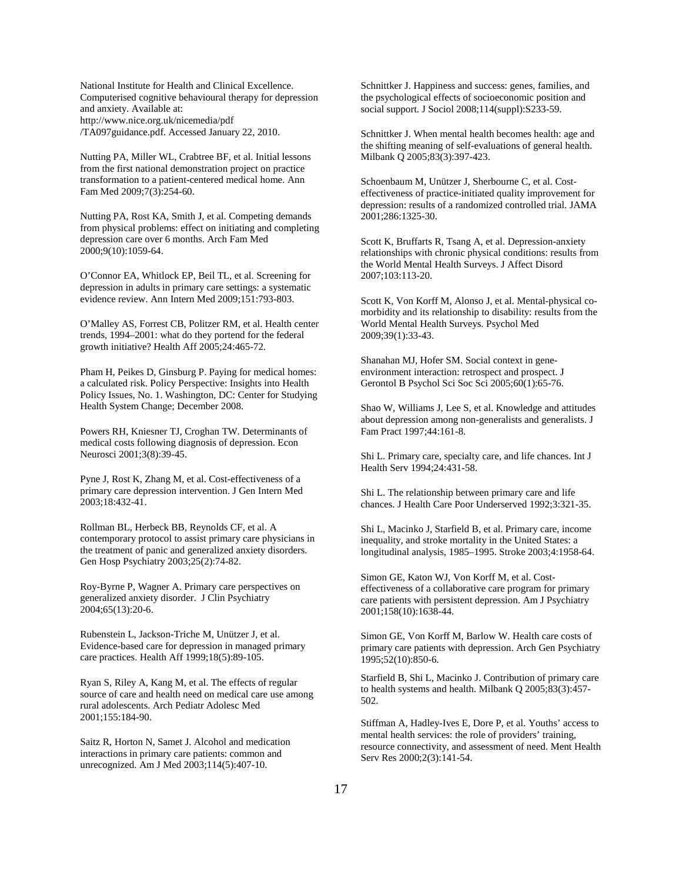National Institute for Health and Clinical Excellence. Computerised cognitive behavioural therapy for depression and anxiety. Available at: http://www.nice.org.uk/nicemedia/pdf /TA097guidance.pdf. Accessed January 22, 2010.

Nutting PA, Miller WL, Crabtree BF, et al[. Initial lessons](http://www.ncbi.nlm.nih.gov/pubmed/19433844?itool=EntrezSystem2.PEntrez.Pubmed.Pubmed_ResultsPanel.Pubmed_RVDocSum&ordinalpos=21)  [from the first national demonstration project on practice](http://www.ncbi.nlm.nih.gov/pubmed/19433844?itool=EntrezSystem2.PEntrez.Pubmed.Pubmed_ResultsPanel.Pubmed_RVDocSum&ordinalpos=21)  [transformation to a patient-centered medical home.](http://www.ncbi.nlm.nih.gov/pubmed/19433844?itool=EntrezSystem2.PEntrez.Pubmed.Pubmed_ResultsPanel.Pubmed_RVDocSum&ordinalpos=21) Ann Fam Med 2009;7(3):254-60.

Nutting PA, Rost KA, Smith J, et al. Competing demands from physical problems: effect on initiating and completing depression care over 6 months. Arch Fam Med 2000;9(10):1059-64.

O'Connor EA, Whitlock EP, Beil TL, et al. Screening for depression in adults in primary care settings: a systematic evidence review. Ann Intern Med 2009;151:793-803.

O'Malley AS, Forrest CB, Politzer RM, et al. Health center trends, 1994–2001: what do they portend for the federal growth initiative? Health Aff 2005;24:465-72.

Pham H, Peikes D, Ginsburg P. Paying for medical homes: a calculated risk. Policy Perspective: Insights into Health Policy Issues, No. 1. Washington, DC: Center for Studying Health System Change; December 2008.

Powers RH, Kniesner TJ, Croghan TW. Determinants of medical costs following diagnosis of depression. Econ Neurosci 2001;3(8):39-45.

Pyne J, Rost K, Zhang M, et al. Cost-effectiveness of a primary care depression intervention. J Gen Intern Med 2003;18:432-41.

Rollman BL, Herbeck BB, Reynolds CF, et al. A contemporary protocol to assist primary care physicians in the treatment of panic and generalized anxiety disorders. Gen Hosp Psychiatry 2003;25(2):74-82.

[Roy-Byrne P,](http://www.ncbi.nlm.nih.gov/pubmed?term=%22Roy-Byrne%20PP%22%5BAuthor%5D&itool=EntrezSystem2.PEntrez.Pubmed.Pubmed_ResultsPanel.Pubmed_RVAbstract) [Wagner A.](http://www.ncbi.nlm.nih.gov/pubmed?term=%22Wagner%20A%22%5BAuthor%5D&itool=EntrezSystem2.PEntrez.Pubmed.Pubmed_ResultsPanel.Pubmed_RVAbstract) Primary care perspectives on generalized anxiety disorder[. J Clin Psychiatry](javascript:AL_get(this,%20) 2004;65(13):20-6.

Rubenstein L, Jackson-Triche M, Unützer J, et al. Evidence-based care for depression in managed primary care practices. Health Aff 1999;18(5):89-105.

Ryan S, Riley A, Kang M, et al. The effects of regular source of care and health need on medical care use among rural adolescents. Arch Pediatr Adolesc Med 2001;155:184-90.

Saitz R, Horton N, Samet J. [Alcohol and medication](http://www.ncbi.nlm.nih.gov/pubmed/12714132?itool=EntrezSystem2.PEntrez.Pubmed.Pubmed_ResultsPanel.Pubmed_RVDocSum&ordinalpos=44)  [interactions in primary care patients: common and](http://www.ncbi.nlm.nih.gov/pubmed/12714132?itool=EntrezSystem2.PEntrez.Pubmed.Pubmed_ResultsPanel.Pubmed_RVDocSum&ordinalpos=44)  [unrecognized.](http://www.ncbi.nlm.nih.gov/pubmed/12714132?itool=EntrezSystem2.PEntrez.Pubmed.Pubmed_ResultsPanel.Pubmed_RVDocSum&ordinalpos=44) Am J Med 2003;114(5):407-10.

Schnittker J. Happiness and success: genes, families, and the psychological effects of socioeconomic position and social support. J Sociol 2008;114(suppl):S233-59.

Schnittker J. When mental health becomes health: age and the shifting meaning of self-evaluations of general health. Milbank Q 2005;83(3):397-423.

Schoenbaum M, Unützer J, Sherbourne C, et al. Costeffectiveness of practice-initiated quality improvement for depression: results of a randomized controlled trial. JAMA 2001;286:1325-30.

Scott K, Bruffarts R, Tsang A, et al. Depression-anxiety relationships with chronic physical conditions: results from the World Mental Health Surveys. J Affect Disord 2007;103:113-20.

Scott K, Von Korff M, Alonso J, et al. Mental-physical comorbidity and its relationship to disability: results from the World Mental Health Surveys. Psychol Med 2009;39(1):33-43.

Shanahan MJ, Hofer SM. Social context in geneenvironment interaction: retrospect and prospect. J Gerontol B Psychol Sci Soc Sci 2005;60(1):65-76.

Shao W, Williams J, Lee S, et al. Knowledge and attitudes about depression among non-generalists and generalists. J Fam Pract 1997;44:161-8.

Shi L. Primary care, specialty care, and life chances. Int J Health Serv 1994;24:431-58.

Shi L. The relationship between primary care and life chances. J Health Care Poor Underserved 1992;3:321-35.

Shi L, Macinko J, Starfield B, et al. Primary care, income inequality, and stroke mortality in the United States: a longitudinal analysis, 1985–1995. Stroke 2003;4:1958-64.

Simon GE, Katon WJ, Von Korff M, et al. Costeffectiveness of a collaborative care program for primary care patients with persistent depression. Am J Psychiatry 2001;158(10):1638-44.

Simon GE, Von Korff M, Barlow W. Health care costs of primary care patients with depression. Arch Gen Psychiatry 1995;52(10):850-6.

Starfield B, Shi L, Macinko J. Contribution of primary care to health systems and health. Milbank Q 2005;83(3):457- 502.

Stiffman A, Hadley-Ives E, Dore P, et al. Youths' access to mental health services: the role of providers' training, resource connectivity, and assessment of need. Ment Health Serv Res 2000;2(3):141-54.